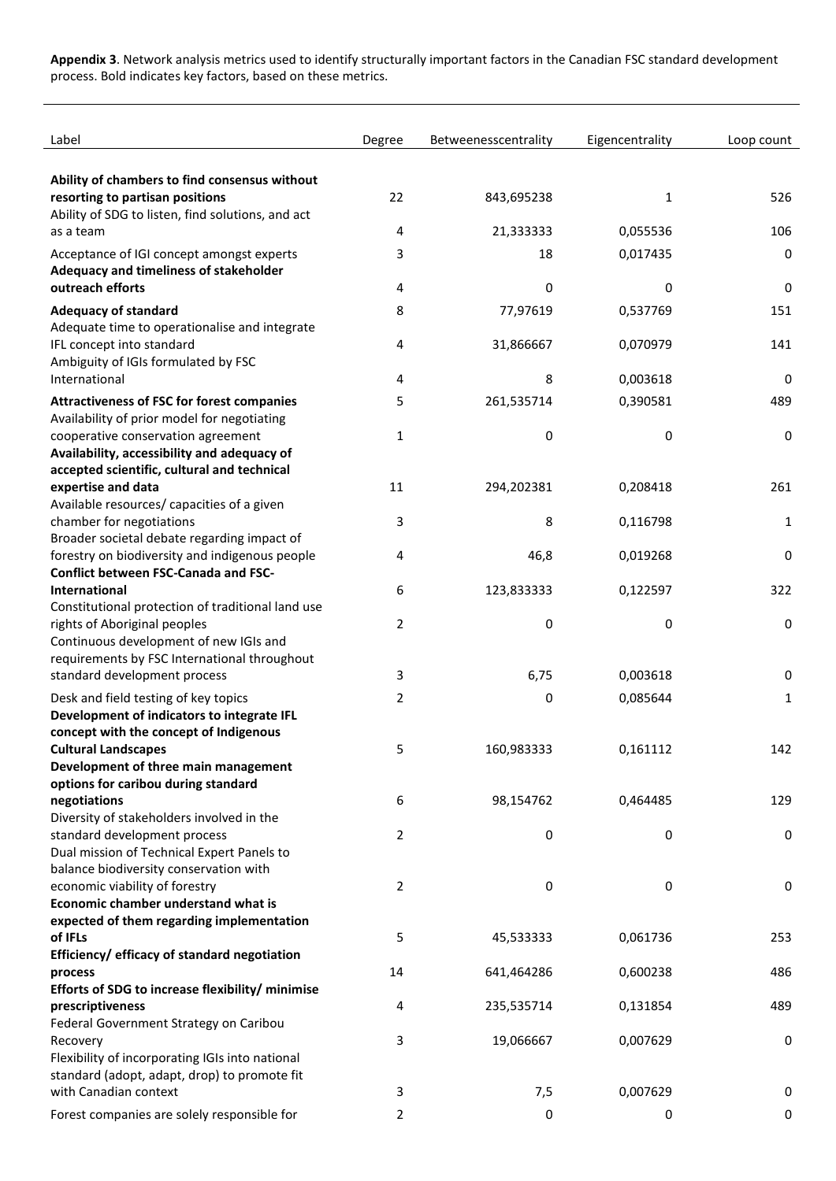**Appendix 3**. Network analysis metrics used to identify structurally important factors in the Canadian FSC standard development process. Bold indicates key factors, based on these metrics.

| Label                                                                                           | Degree         | Betweenesscentrality | Eigencentrality | Loop count |
|-------------------------------------------------------------------------------------------------|----------------|----------------------|-----------------|------------|
| Ability of chambers to find consensus without                                                   |                |                      |                 |            |
| resorting to partisan positions                                                                 | 22             | 843,695238           | 1               | 526        |
| Ability of SDG to listen, find solutions, and act<br>as a team                                  | 4              | 21,333333            | 0,055536        | 106        |
| Acceptance of IGI concept amongst experts                                                       | 3              | 18                   | 0,017435        | 0          |
| Adequacy and timeliness of stakeholder                                                          |                |                      |                 |            |
| outreach efforts                                                                                | 4              | 0                    | 0               | 0          |
| <b>Adequacy of standard</b>                                                                     | 8              | 77,97619             | 0,537769        | 151        |
| Adequate time to operationalise and integrate                                                   |                |                      |                 |            |
| IFL concept into standard<br>Ambiguity of IGIs formulated by FSC                                | 4              | 31,866667            | 0,070979        | 141        |
| International                                                                                   | 4              | 8                    | 0,003618        | 0          |
| <b>Attractiveness of FSC for forest companies</b>                                               | 5              | 261,535714           | 0,390581        | 489        |
| Availability of prior model for negotiating                                                     |                |                      |                 |            |
| cooperative conservation agreement                                                              | 1              | 0                    | 0               | 0          |
| Availability, accessibility and adequacy of<br>accepted scientific, cultural and technical      |                |                      |                 |            |
| expertise and data                                                                              | 11             | 294,202381           | 0,208418        | 261        |
| Available resources/ capacities of a given                                                      |                |                      |                 |            |
| chamber for negotiations<br>Broader societal debate regarding impact of                         | 3              | 8                    | 0,116798        | 1          |
| forestry on biodiversity and indigenous people                                                  | 4              | 46,8                 | 0,019268        | 0          |
| <b>Conflict between FSC-Canada and FSC-</b>                                                     |                |                      |                 |            |
| <b>International</b>                                                                            | 6              | 123,833333           | 0,122597        | 322        |
| Constitutional protection of traditional land use<br>rights of Aboriginal peoples               | 2              | 0                    | 0               | 0          |
| Continuous development of new IGIs and                                                          |                |                      |                 |            |
| requirements by FSC International throughout                                                    |                |                      |                 |            |
| standard development process                                                                    | 3              | 6,75                 | 0,003618        | 0          |
| Desk and field testing of key topics                                                            | 2              | 0                    | 0,085644        | 1          |
| Development of indicators to integrate IFL<br>concept with the concept of Indigenous            |                |                      |                 |            |
| <b>Cultural Landscapes</b>                                                                      | 5              | 160,983333           | 0,161112        | 142        |
| Development of three main management                                                            |                |                      |                 |            |
| options for caribou during standard                                                             | 6              | 98,154762            |                 | 129        |
| negotiations<br>Diversity of stakeholders involved in the                                       |                |                      | 0,464485        |            |
| standard development process                                                                    | $\overline{2}$ | 0                    | 0               | 0          |
| Dual mission of Technical Expert Panels to                                                      |                |                      |                 |            |
| balance biodiversity conservation with<br>economic viability of forestry                        |                |                      |                 |            |
| Economic chamber understand what is                                                             | $\overline{2}$ | 0                    | 0               | 0          |
| expected of them regarding implementation                                                       |                |                      |                 |            |
| of IFLs                                                                                         | 5              | 45,533333            | 0,061736        | 253        |
| Efficiency/ efficacy of standard negotiation                                                    |                |                      |                 |            |
| process<br>Efforts of SDG to increase flexibility/ minimise                                     | 14             | 641,464286           | 0,600238        | 486        |
| prescriptiveness                                                                                | 4              | 235,535714           | 0,131854        | 489        |
| Federal Government Strategy on Caribou                                                          |                |                      |                 |            |
| Recovery                                                                                        | 3              | 19,066667            | 0,007629        | 0          |
| Flexibility of incorporating IGIs into national<br>standard (adopt, adapt, drop) to promote fit |                |                      |                 |            |
| with Canadian context                                                                           | 3              | 7,5                  | 0,007629        | 0          |
| Forest companies are solely responsible for                                                     | 2              | 0                    | 0               | 0          |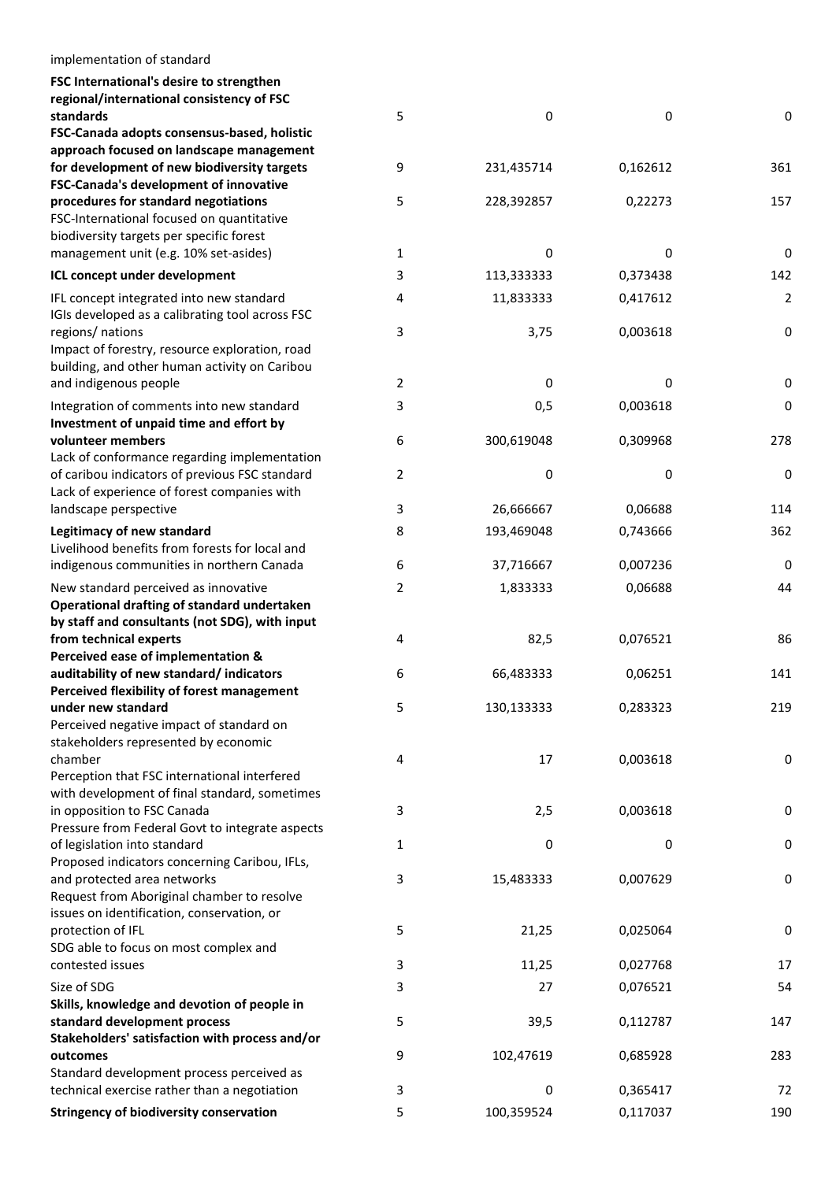| implementation of standard                                                                    |   |            |          |             |
|-----------------------------------------------------------------------------------------------|---|------------|----------|-------------|
|                                                                                               |   |            |          |             |
| FSC International's desire to strengthen<br>regional/international consistency of FSC         |   |            |          |             |
| standards                                                                                     | 5 | 0          | 0        | 0           |
| FSC-Canada adopts consensus-based, holistic                                                   |   |            |          |             |
| approach focused on landscape management                                                      |   |            |          |             |
| for development of new biodiversity targets                                                   | 9 | 231,435714 | 0,162612 | 361         |
| FSC-Canada's development of innovative                                                        |   |            |          |             |
| procedures for standard negotiations                                                          | 5 | 228,392857 | 0,22273  | 157         |
| FSC-International focused on quantitative                                                     |   |            |          |             |
| biodiversity targets per specific forest                                                      |   |            |          |             |
| management unit (e.g. 10% set-asides)                                                         | 1 | 0          | 0        | $\pmb{0}$   |
| ICL concept under development                                                                 | 3 | 113,333333 | 0,373438 | 142         |
| IFL concept integrated into new standard                                                      | 4 | 11,833333  | 0,417612 | 2           |
| IGIs developed as a calibrating tool across FSC                                               |   |            |          |             |
| regions/ nations                                                                              | 3 | 3,75       | 0,003618 | 0           |
| Impact of forestry, resource exploration, road                                                |   |            |          |             |
| building, and other human activity on Caribou                                                 |   |            |          |             |
| and indigenous people                                                                         | 2 | 0          | 0        | 0           |
| Integration of comments into new standard                                                     | 3 | 0,5        | 0,003618 | 0           |
| Investment of unpaid time and effort by                                                       |   |            |          |             |
| volunteer members                                                                             | 6 | 300,619048 | 0,309968 | 278         |
| Lack of conformance regarding implementation                                                  |   |            |          |             |
| of caribou indicators of previous FSC standard<br>Lack of experience of forest companies with | 2 | 0          | 0        | 0           |
| landscape perspective                                                                         | 3 | 26,666667  | 0,06688  | 114         |
| Legitimacy of new standard                                                                    | 8 | 193,469048 | 0,743666 | 362         |
| Livelihood benefits from forests for local and                                                |   |            |          |             |
| indigenous communities in northern Canada                                                     | 6 | 37,716667  | 0,007236 | $\mathbf 0$ |
|                                                                                               |   |            |          |             |
| New standard perceived as innovative<br>Operational drafting of standard undertaken           | 2 | 1,833333   | 0,06688  | 44          |
| by staff and consultants (not SDG), with input                                                |   |            |          |             |
| from technical experts                                                                        | 4 | 82,5       | 0,076521 | 86          |
| Perceived ease of implementation &                                                            |   |            |          |             |
| auditability of new standard/indicators                                                       | 6 | 66,483333  | 0,06251  | 141         |
| Perceived flexibility of forest management                                                    |   |            |          |             |
| under new standard                                                                            | 5 | 130,133333 | 0,283323 | 219         |
| Perceived negative impact of standard on                                                      |   |            |          |             |
| stakeholders represented by economic                                                          |   |            |          |             |
| chamber                                                                                       | 4 | 17         | 0,003618 | 0           |
| Perception that FSC international interfered                                                  |   |            |          |             |
| with development of final standard, sometimes<br>in opposition to FSC Canada                  | 3 | 2,5        | 0,003618 | 0           |
| Pressure from Federal Govt to integrate aspects                                               |   |            |          |             |
| of legislation into standard                                                                  | 1 | 0          | 0        | 0           |
| Proposed indicators concerning Caribou, IFLs,                                                 |   |            |          |             |
| and protected area networks                                                                   | 3 | 15,483333  | 0,007629 | 0           |
| Request from Aboriginal chamber to resolve                                                    |   |            |          |             |
| issues on identification, conservation, or                                                    |   |            |          |             |
| protection of IFL                                                                             | 5 | 21,25      | 0,025064 | 0           |
| SDG able to focus on most complex and                                                         |   |            |          |             |
| contested issues                                                                              | 3 | 11,25      | 0,027768 | 17          |
| Size of SDG                                                                                   | 3 | 27         | 0,076521 | 54          |
| Skills, knowledge and devotion of people in                                                   |   |            |          |             |
| standard development process                                                                  | 5 | 39,5       | 0,112787 | 147         |
| Stakeholders' satisfaction with process and/or                                                |   |            |          |             |
| outcomes                                                                                      | 9 | 102,47619  | 0,685928 | 283         |
| Standard development process perceived as<br>technical exercise rather than a negotiation     | 3 | 0          | 0,365417 | 72          |
|                                                                                               |   |            |          |             |
| <b>Stringency of biodiversity conservation</b>                                                | 5 | 100,359524 | 0,117037 | 190         |